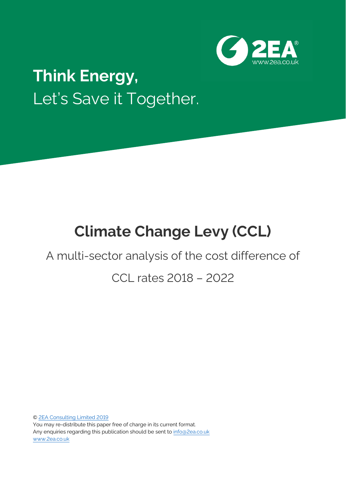

# **Think Energy,** Let's Save it Together.

# **Climate Change Levy (CCL)**

# A multi-sector analysis of the cost difference of

# CCL rates 2018 – 2022

[© 2EA Consulting Limited 2019](https://www.2ea.co.uk/) You may re-distribute this paper free of charge in its current format. Any enquiries regarding this publication should be sent t[o info@2ea.co.uk](mailto:info@2ea.co.uk) [www.2ea.co.uk](file:///C:/Users/Sam/AppData/Roaming/Microsoft/Word/www.2ea.co.uk)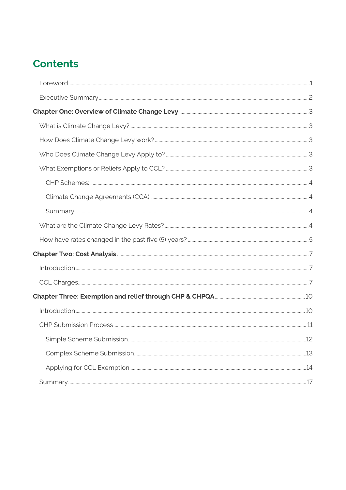# **Contents**

| 12 |
|----|
|    |
|    |
|    |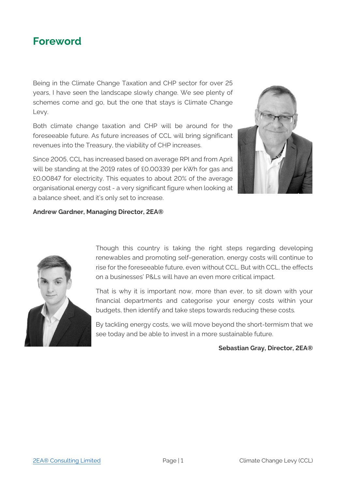<span id="page-2-0"></span>

Being in the Climate Change Taxation and CHP sector for over 25 years, I have seen the landscape slowly change. We see plenty of schemes come and go, but the one that stays is Climate Change Levy.

Both climate change taxation and CHP will be around for the foreseeable future. As future increases of CCL will bring significant revenues into the Treasury, the viability of CHP increases.

Since 2005, CCL has increased based on average RPI and from April will be standing at the 2019 rates of £0.00339 per kWh for gas and £0.00847 for electricity. This equates to about 20% of the average organisational energy cost - a very significant figure when looking at a balance sheet, and it's only set to increase.



#### **Andrew Gardner, Managing Director, 2EA®**



Though this country is taking the right steps regarding developing renewables and promoting self-generation, energy costs will continue to rise for the foreseeable future, even without CCL. But with CCL, the effects on a businesses' P&Ls will have an even more critical impact.

That is why it is important now, more than ever, to sit down with your financial departments and categorise your energy costs within your budgets, then identify and take steps towards reducing these costs.

By tackling energy costs, we will move beyond the short-termism that we see today and be able to invest in a more sustainable future.

#### **Sebastian Gray, Director, 2EA®**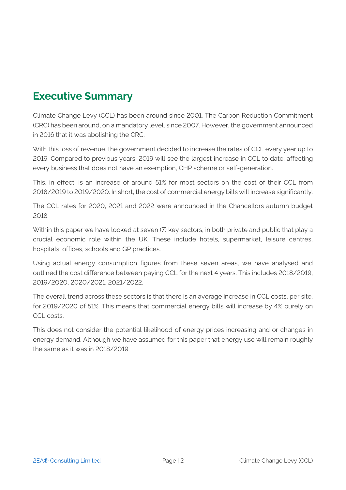## <span id="page-3-0"></span>**Executive Summary**

Climate Change Levy (CCL) has been around since 2001. The Carbon Reduction Commitment (CRC) has been around, on a mandatory level, since 2007. However, the government announced in 2016 that it was abolishing the CRC.

With this loss of revenue, the government decided to increase the rates of CCL every year up to 2019. Compared to previous years, 2019 will see the largest increase in CCL to date, affecting every business that does not have an exemption, CHP scheme or self-generation.

This, in effect, is an increase of around 51% for most sectors on the cost of their CCL from 2018/2019 to 2019/2020. In short, the cost of commercial energy bills will increase significantly.

The CCL rates for 2020, 2021 and 2022 were announced in the Chancellors autumn budget 2018.

Within this paper we have looked at seven (7) key sectors, in both private and public that play a crucial economic role within the UK. These include hotels, supermarket, leisure centres, hospitals, offices, schools and GP practices.

Using actual energy consumption figures from these seven areas, we have analysed and outlined the cost difference between paying CCL for the next 4 years. This includes 2018/2019, 2019/2020, 2020/2021, 2021/2022.

The overall trend across these sectors is that there is an average increase in CCL costs, per site, for 2019/2020 of 51%. This means that commercial energy bills will increase by 4% purely on CCL costs.

This does not consider the potential likelihood of energy prices increasing and or changes in energy demand. Although we have assumed for this paper that energy use will remain roughly the same as it was in 2018/2019.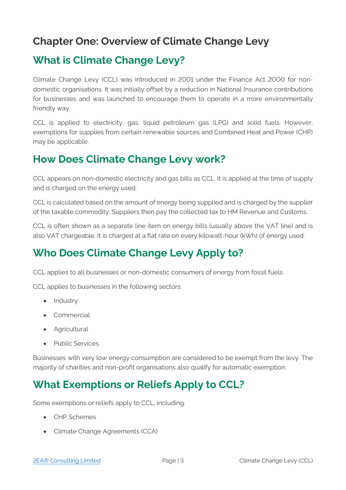### <span id="page-4-0"></span>**Chapter One: Overview of Climate Change Levy**

### <span id="page-4-1"></span>**What is Climate Change Levy?**

Climate Change Levy (CCL) was introduced in 2001 under the Finance Act 2000 for nondomestic organisations. It was initially offset by a reduction in National Insurance contributions for businesses and was launched to encourage them to operate in a more environmentally friendly way.

CCL is applied to electricity, gas, liquid petroleum gas (LPG) and solid fuels. However, exemptions for supplies from certain renewable sources and Combined Heat and Power (CHP) may be applicable.

### <span id="page-4-2"></span>**How Does Climate Change Levy work?**

CCL appears on non-domestic electricity and gas bills as CCL. It is applied at the time of supply and is charged on the energy used.

CCL is calculated based on the amount of energy being supplied and is charged by the supplier of the taxable commodity. Suppliers then pay the collected tax to HM Revenue and Customs.

CCL is often shown as a separate line item on energy bills (usually above the VAT line) and is also VAT chargeable. It is charged at a flat rate on every kilowatt-hour (kWh) of energy used.

## <span id="page-4-3"></span>**Who Does Climate Change Levy Apply to?**

CCL applies to all businesses or non-domestic consumers of energy from fossil fuels.

CCL applies to businesses in the following sectors:

- Industry
- Commercial
- Agricultural
- Public Services.

Businesses with very low energy consumption are considered to be exempt from the levy. The majority of charities and non-profit organisations also qualify for automatic exemption.

# <span id="page-4-4"></span>**What Exemptions or Reliefs Apply to CCL?**

Some exemptions or reliefs apply to CCL, including:

- CHP Schemes
- Climate Change Agreements (CCA)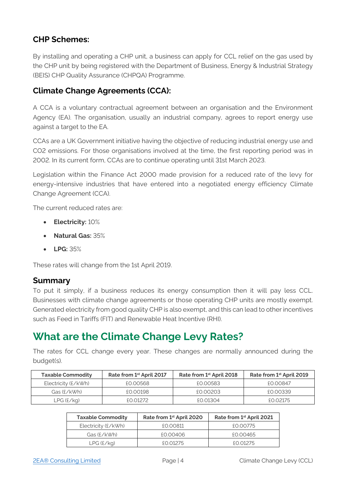### <span id="page-5-0"></span>**CHP Schemes:**

By installing and operating a CHP unit, a business can apply for CCL relief on the gas used by the CHP unit by being registered with the Department of Business, Energy & Industrial Strategy (BEIS) CHP Quality Assurance (CHPQA) Programme.

#### <span id="page-5-1"></span>**Climate Change Agreements (CCA):**

A CCA is a voluntary contractual agreement between an organisation and the Environment Agency (EA). The organisation, usually an industrial company, agrees to report energy use against a target to the EA.

CCAs are a UK Government initiative having the objective of reducing industrial energy use and CO2 emissions. For those organisations involved at the time, the first reporting period was in 2002. In its current form, CCAs are to continue operating until 31st March 2023.

Legislation within the Finance Act 2000 made provision for a reduced rate of the levy for energy-intensive industries that have entered into a negotiated energy efficiency Climate Change Agreement (CCA).

The current reduced rates are:

- **Electricity:** 10%
- **Natural Gas:** 35%
- **LPG:** 35%

These rates will change from the 1st April 2019.

#### <span id="page-5-2"></span>**Summary**

To put it simply, if a business reduces its energy consumption then it will pay less CCL. Businesses with climate change agreements or those operating CHP units are mostly exempt. Generated electricity from good quality CHP is also exempt, and this can lead to other incentives such as Feed in Tariffs (FIT) and Renewable Heat Incentive (RHI).

### <span id="page-5-3"></span>**What are the Climate Change Levy Rates?**

The rates for CCL change every year. These changes are normally announced during the budget(s).

| <b>Taxable Commodity</b> | Rate from 1st April 2017 | Rate from 1 <sup>st</sup> April 2018 | Rate from 1 <sup>st</sup> April 2019 |
|--------------------------|--------------------------|--------------------------------------|--------------------------------------|
| $Electricity$ (£/kWh)    | £0.00568                 | £0.00583                             | £0.00847                             |
| Gas (£/kWh)              | £0.00198                 | £0.00203                             | £0.00339                             |
| LPG (£/kq)               | FO 01272                 | FO 01304                             | FO 02175                             |

| <b>Taxable Commodity</b> | Rate from 1 <sup>st</sup> April 2020 | Rate from 1st April 2021 |
|--------------------------|--------------------------------------|--------------------------|
| Electricity (£/kWh)      | £0.00811                             | £0.00775                 |
| Gas $(E/KWh)$            | £0.00406                             | £0.00465                 |
| LPG(E/Kq)                | £0.01275                             | $f()$ (1275              |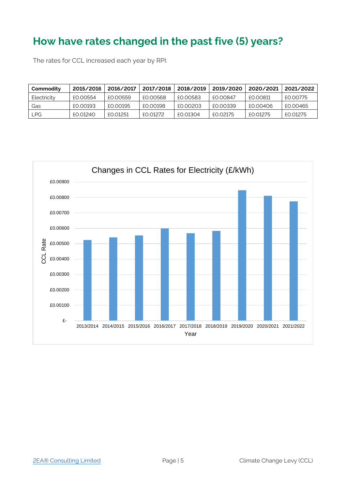### <span id="page-6-0"></span>**How have rates changed in the past five (5) years?**

The rates for CCL increased each year by RPI:

| Commodity   | 2015/2016 | 2016/2017 | 2017/2018 | 2018/2019 | 2019/2020 | 2020/2021 | 2021/2022 |
|-------------|-----------|-----------|-----------|-----------|-----------|-----------|-----------|
| Electricity | £0.00554  | £0.00559  | £0.00568  | £0.00583  | £0.00847  | £0.00811  | £0.00775  |
| Gas         | £0.00193  | £0.00195  | £0.00198  | £0.00203  | £0.00339  | £0.00406  | £0.00465  |
| <b>LPG</b>  | £0.01240  | £0.01251  | £0.01272  | £0.01304  | £0.02175  | £0.01275  | £0.01275  |

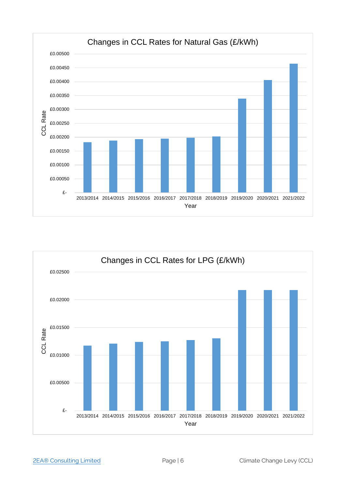

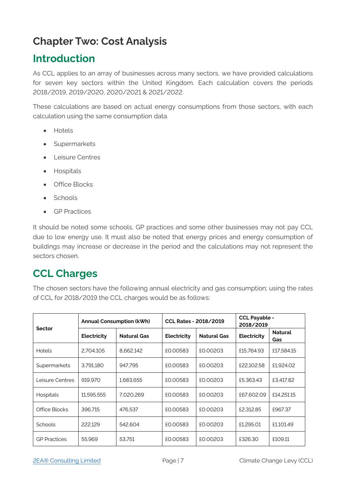# <span id="page-8-0"></span>**Chapter Two: Cost Analysis**

### <span id="page-8-1"></span>**Introduction**

As CCL applies to an array of businesses across many sectors, we have provided calculations for seven key sectors within the United Kingdom. Each calculation covers the periods 2018/2019, 2019/2020, 2020/2021 & 2021/2022.

These calculations are based on actual energy consumptions from those sectors, with each calculation using the same consumption data.

- Hotels
- Supermarkets
- Leisure Centres
- Hospitals
- Office Blocks
- Schools
- GP Practices

It should be noted some schools, GP practices and some other businesses may not pay CCL due to low energy use. It must also be noted that energy prices and energy consumption of buildings may increase or decrease in the period and the calculations may not represent the sectors chosen.

### <span id="page-8-2"></span>**CCL Charges**

The chosen sectors have the following annual electricity and gas consumption; using the rates of CCL for 2018/2019 the CCL charges would be as follows:

|                     |             | <b>Annual Consumption (kWh)</b> | <b>CCL Rates - 2018/2019</b> |                    | <b>CCL Payable -</b><br>2018/2019 |                       |
|---------------------|-------------|---------------------------------|------------------------------|--------------------|-----------------------------------|-----------------------|
| <b>Sector</b>       | Electricity | <b>Natural Gas</b>              | Electricity                  | <b>Natural Gas</b> | Electricity                       | <b>Natural</b><br>Gas |
| <b>Hotels</b>       | 2,704,105   | 8,662,142                       | £0.00583                     | £0.00203           | £15,764.93                        | £17,584.15            |
| Supermarkets        | 3.791.180   | 947.795                         | £0.00583                     | £0.00203           | £22.102.58                        | £1,924.02             |
| Leisure Centres     | 919.970     | 1.683.655                       | £0.00583                     | £0.00203           | £5,363.43                         | £3.417.82             |
| Hospitals           | 11.595.555  | 7.020.269                       | £0.00583                     | £0.00203           | £67.602.09                        | £14,251.15            |
| Office Blocks       | 396.715     | 476.537                         | £0.00583                     | £0.00203           | £2,312.85                         | £967.37               |
| <b>Schools</b>      | 222.129     | 542.604                         | £0.00583                     | £0.00203           | £1.295.01                         | £1.101.49             |
| <b>GP Practices</b> | 55.969      | 53.751                          | £0.00583                     | £0.00203           | £326.30                           | £109.11               |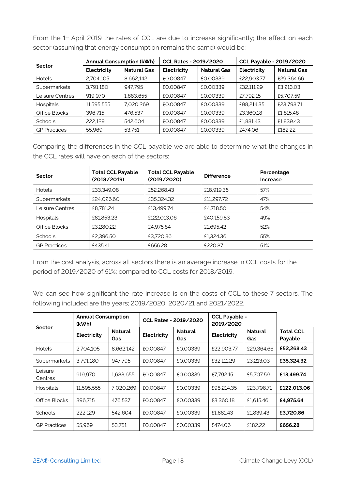From the 1<sup>st</sup> April 2019 the rates of CCL are due to increase significantly; the effect on each sector (assuming that energy consumption remains the same) would be:

|                     | <b>Annual Consumption (kWh)</b> |                    | <b>CCL Rates - 2019/2020</b> |                    | <b>CCL Payable - 2019/2020</b> |                    |
|---------------------|---------------------------------|--------------------|------------------------------|--------------------|--------------------------------|--------------------|
| Sector              | Electricity                     | <b>Natural Gas</b> | Electricity                  | <b>Natural Gas</b> | Electricity                    | <b>Natural Gas</b> |
| <b>Hotels</b>       | 2.704.105                       | 8.662.142          | £0.00847                     | £0.00339           | £22,903.77                     | £29.364.66         |
| Supermarkets        | 3.791.180                       | 947.795            | £0.00847                     | £0.00339           | £32.111.29                     | £3,213,03          |
| Leisure Centres     | 919.970                         | 1.683.655          | £0.00847                     | £0.00339           | £7.792.15                      | £5.707.59          |
| <b>Hospitals</b>    | 11.595.555                      | 7.020.269          | £0.00847                     | £0.00339           | £98.214.35                     | £23.798.71         |
| Office Blocks       | 396.715                         | 476.537            | £0.00847                     | £0.00339           | £3,360.18                      | £1,615.46          |
| Schools             | 222.129                         | 542.604            | £0.00847                     | £0.00339           | £1.881.43                      | £1.839.43          |
| <b>GP</b> Practices | 55.969                          | 53.751             | £0.00847                     | £0.00339           | £474.06                        | £182.22            |

Comparing the differences in the CCL payable we are able to determine what the changes in the CCL rates will have on each of the sectors:

| Sector              | <b>Total CCL Payable</b><br>(2018/2019) | <b>Total CCL Payable</b><br>(2019/2020) | <b>Difference</b> | Percentage<br><b>Increase</b> |
|---------------------|-----------------------------------------|-----------------------------------------|-------------------|-------------------------------|
| <b>Hotels</b>       | £33,349.08                              | £52,268,43                              | £18,919.35        | 57%                           |
| Supermarkets        | £24,026.60                              | £35,324.32                              | £11,297.72        | 47%                           |
| Leisure Centres     | £8,781,24                               | £13.499.74                              | £4.718.50         | 54%                           |
| <b>Hospitals</b>    | £81,853.23                              | £122,013,06                             | £40.159.83        | 49%                           |
| Office Blocks       | £3,280.22                               | £4.975.64                               | £1,695.42         | 52%                           |
| <b>Schools</b>      | £2,396.50                               | £3.720.86                               | £1,324.36         | 55%                           |
| <b>GP Practices</b> | £435.41                                 | £656.28                                 | £220.87           | 51%                           |

From the cost analysis, across all sectors there is an average increase in CCL costs for the period of 2019/2020 of 51%; compared to CCL costs for 2018/2019.

We can see how significant the rate increase is on the costs of CCL to these 7 sectors. The following included are the years; 2019/2020, 2020/21 and 2021/2022.

|                     | <b>Annual Consumption</b><br>(kWh) |                       | <b>CCL Rates - 2019/2020</b> |                       | <b>CCL Payable -</b><br>2019/2020 |                       |                             |
|---------------------|------------------------------------|-----------------------|------------------------------|-----------------------|-----------------------------------|-----------------------|-----------------------------|
| Sector              | Electricity                        | <b>Natural</b><br>Gas | Electricity                  | <b>Natural</b><br>Gas | Electricity                       | <b>Natural</b><br>Gas | <b>Total CCL</b><br>Payable |
| <b>Hotels</b>       | 2.704.105                          | 8,662,142             | £0.00847                     | £0.00339              | £22,903,77                        | £29.364.66            | £52,268,43                  |
| Supermarkets        | 3.791.180                          | 947.795               | £0.00847                     | £0.00339              | £32.111.29                        | £3,213,03             | £35,324.32                  |
| Leisure<br>Centres  | 919.970                            | 1.683.655             | £0.00847                     | £0.00339              | £7.792.15                         | £5.707.59             | £13,499.74                  |
| Hospitals           | 11.595.555                         | 7.020.269             | £0.00847                     | £0.00339              | £98.214.35                        | £23.798.71            | £122.013.06                 |
| Office Blocks       | 396.715                            | 476.537               | £0.00847                     | £0.00339              | £3.360.18                         | £1,615.46             | £4,975.64                   |
| <b>Schools</b>      | 222.129                            | 542.604               | £0.00847                     | £0.00339              | £1.881.43                         | £1,839.43             | £3,720.86                   |
| <b>GP</b> Practices | 55.969                             | 53.751                | £0.00847                     | £0.00339              | £474.06                           | £182.22               | £656.28                     |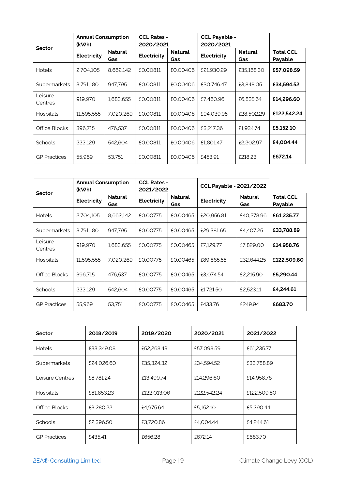|                     | <b>Annual Consumption</b><br>(kWh) |                       | <b>CCL Rates -</b><br>2020/2021 |                       | <b>CCL Payable -</b><br>2020/2021 |                       |                             |
|---------------------|------------------------------------|-----------------------|---------------------------------|-----------------------|-----------------------------------|-----------------------|-----------------------------|
| <b>Sector</b>       | Electricity                        | <b>Natural</b><br>Gas | Electricity                     | <b>Natural</b><br>Gas | Electricity                       | <b>Natural</b><br>Gas | <b>Total CCL</b><br>Payable |
| <b>Hotels</b>       | 2.704.105                          | 8,662,142             | £0.00811                        | £0.00406              | £21.930.29                        | £35,168,30            | £57,098.59                  |
| Supermarkets        | 3.791.180                          | 947.795               | £0.00811                        | £0.00406              | £30.746.47                        | £3.848.05             | £34,594.52                  |
| Leisure<br>Centres  | 919,970                            | 1,683,655             | £0.00811                        | £0.00406              | £7.460.96                         | £6.835.64             | £14,296.60                  |
| <b>Hospitals</b>    | 11,595,555                         | 7,020,269             | £0.00811                        | £0.00406              | £94.039.95                        | £28,502.29            | £122,542.24                 |
| Office Blocks       | 396.715                            | 476.537               | £0.00811                        | £0.00406              | £3,217.36                         | £1.934.74             | £5,152.10                   |
| <b>Schools</b>      | 222.129                            | 542.604               | £0.00811                        | £0.00406              | £1.801.47                         | £2,202.97             | £4.004.44                   |
| <b>GP Practices</b> | 55,969                             | 53.751                | £0.00811                        | £0.00406              | £453.91                           | £218.23               | £672.14                     |

| <b>Sector</b>       | <b>Annual Consumption</b><br>(kWh) |                       | <b>CCL Rates -</b><br>2021/2022 |                              | <b>CCL Payable - 2021/2022</b> |                       |                             |
|---------------------|------------------------------------|-----------------------|---------------------------------|------------------------------|--------------------------------|-----------------------|-----------------------------|
|                     | Electricity                        | <b>Natural</b><br>Gas | Electricity                     | <b>Natural</b><br><b>Gas</b> | Electricity                    | <b>Natural</b><br>Gas | <b>Total CCL</b><br>Payable |
| <b>Hotels</b>       | 2.704.105                          | 8.662.142             | £0.00775                        | £0.00465                     | £20.956.81                     | £40,278.96            | £61,235.77                  |
| Supermarkets        | 3.791.180                          | 947.795               | £0.00775                        | £0.00465                     | £29.381.65                     | £4.407.25             | £33,788.89                  |
| Leisure<br>Centres  | 919.970                            | 1.683.655             | £0.00775                        | £0.00465                     | £7.129.77                      | £7.829.00             | £14,958.76                  |
| <b>Hospitals</b>    | 11.595.555                         | 7.020.269             | £0.00775                        | £0.00465                     | £89.865.55                     | £32,644.25            | £122,509.80                 |
| Office Blocks       | 396.715                            | 476,537               | £0.00775                        | £0.00465                     | £3.074.54                      | £2,215.90             | £5,290,44                   |
| <b>Schools</b>      | 222.129                            | 542.604               | £0.00775                        | £0.00465                     | £1,721,50                      | £2.523.11             | £4.244.61                   |
| <b>GP</b> Practices | 55,969                             | 53.751                | £0.00775                        | £0.00465                     | £433.76                        | £249.94               | £683.70                     |

| <b>Sector</b>       | 2018/2019  | 2019/2020   | 2020/2021   | 2021/2022   |
|---------------------|------------|-------------|-------------|-------------|
| <b>Hotels</b>       | £33,349.08 | £52,268.43  | £57.098.59  | £61,235.77  |
| Supermarkets        | £24,026.60 | £35,324.32  | £34,594.52  | £33.788.89  |
| Leisure Centres     | £8.781.24  | £13.499.74  | £14,296.60  | £14.958.76  |
| Hospitals           | £81,853,23 | £122,013.06 | £122,542.24 | £122,509.80 |
| Office Blocks       | £3,280.22  | £4.975.64   | £5.152.10   | £5,290.44   |
| <b>Schools</b>      | £2,396.50  | £3,720.86   | £4,004.44   | £4.244.61   |
| <b>GP Practices</b> | £435.41    | £656.28     | £672.14     | £683.70     |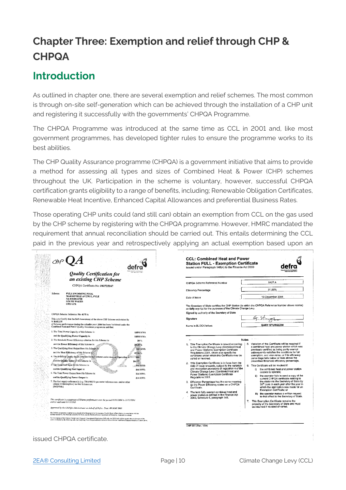# <span id="page-11-0"></span>**Chapter Three: Exemption and relief through CHP & CHPQA**

### <span id="page-11-1"></span>**Introduction**

As outlined in chapter one, there are several exemption and relief schemes. The most common is through on-site self-generation which can be achieved through the installation of a CHP unit and registering it successfully with the governments' CHPQA Programme.

The CHPQA Programme was introduced at the same time as CCL in 2001 and, like most government programmes, has developed tighter rules to ensure the programme works to its best abilities.

The CHP Quality Assurance programme (CHPQA) is a government initiative that aims to provide a method for assessing all types and sizes of Combined Heat & Power (CHP) schemes throughout the UK. Participation in the scheme is voluntary, however, successful CHPQA certification grants eligibility to a range of benefits, including; Renewable Obligation Certificates, Renewable Heat Incentive, Enhanced Capital Allowances and preferential Business Rates.

Those operating CHP units could (and still can) obtain an exemption from CCL on the gas used by the CHP scheme by registering with the CHPQA programme. However, HMRC mandated the requirement that annual reconciliation should be carried out. This entails determining the CCL paid in the previous year and retrospectively applying an actual exemption based upon an

|                                                                                                                                                                                                                                                                                                                                                                                                                                                                       |                                                                                                                                                                                                                                                                                                                                                                                                                                                         | <b>CCL: Combined Heat and Power</b><br><b>Station FULL - Exemption Certificate</b><br>Issued under Paragraph 148(4) to the Finance Act 2000                                                                                                                                                                                                                                                                                                                                                                                                                                                                                                                                                                                                                                         |                                                                                                                                                                                                                                                                                                                                                                                                                                                                                                                                                                                                                                                                                                                                                                                                                                                                                                                                                             |
|-----------------------------------------------------------------------------------------------------------------------------------------------------------------------------------------------------------------------------------------------------------------------------------------------------------------------------------------------------------------------------------------------------------------------------------------------------------------------|---------------------------------------------------------------------------------------------------------------------------------------------------------------------------------------------------------------------------------------------------------------------------------------------------------------------------------------------------------------------------------------------------------------------------------------------------------|-------------------------------------------------------------------------------------------------------------------------------------------------------------------------------------------------------------------------------------------------------------------------------------------------------------------------------------------------------------------------------------------------------------------------------------------------------------------------------------------------------------------------------------------------------------------------------------------------------------------------------------------------------------------------------------------------------------------------------------------------------------------------------------|-------------------------------------------------------------------------------------------------------------------------------------------------------------------------------------------------------------------------------------------------------------------------------------------------------------------------------------------------------------------------------------------------------------------------------------------------------------------------------------------------------------------------------------------------------------------------------------------------------------------------------------------------------------------------------------------------------------------------------------------------------------------------------------------------------------------------------------------------------------------------------------------------------------------------------------------------------------|
|                                                                                                                                                                                                                                                                                                                                                                                                                                                                       | Quality Certification for<br>an existing CHP Scheme                                                                                                                                                                                                                                                                                                                                                                                                     |                                                                                                                                                                                                                                                                                                                                                                                                                                                                                                                                                                                                                                                                                                                                                                                     |                                                                                                                                                                                                                                                                                                                                                                                                                                                                                                                                                                                                                                                                                                                                                                                                                                                                                                                                                             |
|                                                                                                                                                                                                                                                                                                                                                                                                                                                                       | CHPQA Certificate No: F02725167                                                                                                                                                                                                                                                                                                                                                                                                                         | CHPQA Scheme Reference Number                                                                                                                                                                                                                                                                                                                                                                                                                                                                                                                                                                                                                                                                                                                                                       | 5427 A                                                                                                                                                                                                                                                                                                                                                                                                                                                                                                                                                                                                                                                                                                                                                                                                                                                                                                                                                      |
|                                                                                                                                                                                                                                                                                                                                                                                                                                                                       |                                                                                                                                                                                                                                                                                                                                                                                                                                                         | <b>Efficiency Percentage</b>                                                                                                                                                                                                                                                                                                                                                                                                                                                                                                                                                                                                                                                                                                                                                        | 31.00%                                                                                                                                                                                                                                                                                                                                                                                                                                                                                                                                                                                                                                                                                                                                                                                                                                                                                                                                                      |
| Scheme:<br><b>PYLE SWIMMING POOL</b><br>MARSHFIELD AVENUE, PYLE<br><b>NR BRIDGEND</b><br><b>SOUTH WALES</b>                                                                                                                                                                                                                                                                                                                                                           |                                                                                                                                                                                                                                                                                                                                                                                                                                                         | Date of issue                                                                                                                                                                                                                                                                                                                                                                                                                                                                                                                                                                                                                                                                                                                                                                       | 13 December 2004                                                                                                                                                                                                                                                                                                                                                                                                                                                                                                                                                                                                                                                                                                                                                                                                                                                                                                                                            |
| <b>CF33 6PR</b>                                                                                                                                                                                                                                                                                                                                                                                                                                                       |                                                                                                                                                                                                                                                                                                                                                                                                                                                         | The Secretary of State certifies the CHP Station (to which the CHPQA Reference Number above relates)<br>as fully exempt for the purposes of the Climate Change Levy.                                                                                                                                                                                                                                                                                                                                                                                                                                                                                                                                                                                                                |                                                                                                                                                                                                                                                                                                                                                                                                                                                                                                                                                                                                                                                                                                                                                                                                                                                                                                                                                             |
| CHPOA Scheme Reference No: 4175 A                                                                                                                                                                                                                                                                                                                                                                                                                                     |                                                                                                                                                                                                                                                                                                                                                                                                                                                         | Signed by authority of the Secretary of State                                                                                                                                                                                                                                                                                                                                                                                                                                                                                                                                                                                                                                                                                                                                       |                                                                                                                                                                                                                                                                                                                                                                                                                                                                                                                                                                                                                                                                                                                                                                                                                                                                                                                                                             |
| <b>V BAILEY</b>                                                                                                                                                                                                                                                                                                                                                                                                                                                       | This is to Certify that the Self-Assessment of the above CHP Scheme undertaken by                                                                                                                                                                                                                                                                                                                                                                       | Signature                                                                                                                                                                                                                                                                                                                                                                                                                                                                                                                                                                                                                                                                                                                                                                           |                                                                                                                                                                                                                                                                                                                                                                                                                                                                                                                                                                                                                                                                                                                                                                                                                                                                                                                                                             |
| Combined Heat and Power Quality Assurance programme and that:                                                                                                                                                                                                                                                                                                                                                                                                         | of Scheme performance during the calendar year: 2004 has been Validated under the                                                                                                                                                                                                                                                                                                                                                                       | Name in BLOCK letters                                                                                                                                                                                                                                                                                                                                                                                                                                                                                                                                                                                                                                                                                                                                                               | <b>GARY STURGEON</b>                                                                                                                                                                                                                                                                                                                                                                                                                                                                                                                                                                                                                                                                                                                                                                                                                                                                                                                                        |
| 1. The Total Power Capacity of this Scheme is:                                                                                                                                                                                                                                                                                                                                                                                                                        | 0.054 MWc                                                                                                                                                                                                                                                                                                                                                                                                                                               |                                                                                                                                                                                                                                                                                                                                                                                                                                                                                                                                                                                                                                                                                                                                                                                     |                                                                                                                                                                                                                                                                                                                                                                                                                                                                                                                                                                                                                                                                                                                                                                                                                                                                                                                                                             |
| and the Qualifying Power Capacity is:<br>2. The threshold Power Efficiency criterion for this Scheme is:                                                                                                                                                                                                                                                                                                                                                              | 0.054 MWe<br>20 %                                                                                                                                                                                                                                                                                                                                                                                                                                       | Notes                                                                                                                                                                                                                                                                                                                                                                                                                                                                                                                                                                                                                                                                                                                                                                               |                                                                                                                                                                                                                                                                                                                                                                                                                                                                                                                                                                                                                                                                                                                                                                                                                                                                                                                                                             |
| and the Power Efficiency of this Scheme is:<br>3. The Qualifying Heat Output from this Scheme is:<br>and the Heat Efficiency of this Scheme is:<br>and the Quality Index of this Scheme is:<br>5. The Total Fuel Input to this Scheme is:<br>and the Qualifying Fuel Input is:<br>6. The Total Power Output from this Scheme is:<br>and the Qualifying Power Output is:<br>unique ID descriptors) for this Scheme are:<br>[51537001]<br>and is valid until 31/12/2005 | 25.35%<br>365 MWh<br>43.26%<br>4. The threshold Quality Index criterion for this Scheme under Annual Operation is<br>100<br>104.77<br>$-844$ MWh<br>844 MWh<br>214 MWh<br>214 MWh<br>7. The fuel supply reference(s) (e.g. TRANSCO gas meter reference nos. and/or other<br>This certificate is a statement of Scheme performance over the period 01/01/2004 to 31/12/2004<br>Approved by the CHPQA Administrator on behalf of Defra. Date: 09 MAY 2005 | 1. This Exemption Certificate is issued according<br>to the Climate Change Levy (Combined Heat<br>and Power Stations) Exemption Certificate<br>Regulations 2001, which also specify the<br>conditions under which this Certificate may be<br>varied or revoked.<br>2. This Exemption Certificate is in force from the<br>date of issue onwards, subject to the variation<br>and revocation provisions of regulation 4 of the<br>Climate Change Levy (Combined Heat and<br>Power Stations) Exemption Certificate<br>Regulations 2001.<br>3. Efficiency Percentage has the same meaning<br>as the Power Efficiency stated on a CHPOA<br>Certificate.<br>4. The term fully exempt combined heat and<br>nower station is defined in the Finance Act<br>2000, Schedule 6, paragraph 148. | Variation of this Certificate will be required if<br>5.<br>a combined heat and power station which was<br>previously certified as being partly exempt<br>subsequently satisfies the conditions for full<br>exemption, and vice versa, or if its efficiency<br>percentage falls below or rises above the<br>prescribed threshold efficiency percentage,<br>6. This Certificate will be revoked if:<br>i) the combined heat and power station<br>ceases to operate;<br>the operator fails to send a copy of the<br>current CHPQA certificate relating to<br>the station to the Secretary of State by<br>30 <sup>th</sup> June in each year after the year in<br>which the application was made for an<br>Exemption Certificate; or<br>iii) the operator makes a written request<br>to that effect to the Secretary of State.<br>7. This Exemption Certificate remains the<br>property of the Secretary of State and must<br>be returned if revoked or varied. |
|                                                                                                                                                                                                                                                                                                                                                                                                                                                                       | The CHPQA programme is carried out on helialf of the Deparanent for Environment. Food & Rural Affairs (Defra), in computation with the<br>Scottish Executive, The National Assembly for Wales, and the Northern Ireland Department of Enterprise, Trade and Investment                                                                                                                                                                                  |                                                                                                                                                                                                                                                                                                                                                                                                                                                                                                                                                                                                                                                                                                                                                                                     |                                                                                                                                                                                                                                                                                                                                                                                                                                                                                                                                                                                                                                                                                                                                                                                                                                                                                                                                                             |
|                                                                                                                                                                                                                                                                                                                                                                                                                                                                       | For the purposes of the Climate Change Lavy (General) (Amondment) Regulations 2003 only, the QPO limit shall be oqual to the actual eurosa of the<br>station multiplied by the following ratio, the Qualifying Power Output referred to at item 6 above over the Total Power Output referred to at item 6 above.                                                                                                                                        |                                                                                                                                                                                                                                                                                                                                                                                                                                                                                                                                                                                                                                                                                                                                                                                     |                                                                                                                                                                                                                                                                                                                                                                                                                                                                                                                                                                                                                                                                                                                                                                                                                                                                                                                                                             |

issued CHPQA certificate.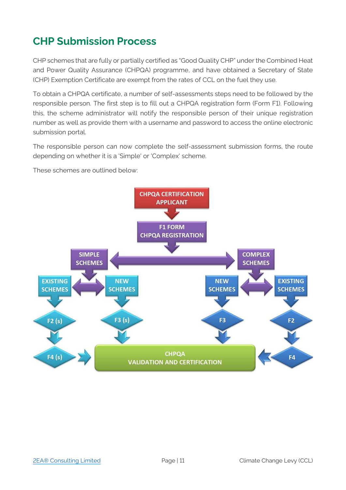## <span id="page-12-0"></span>**CHP Submission Process**

CHP schemes that are fully or partially certified as "Good Quality CHP" under the Combined Heat and Power Quality Assurance (CHPQA) programme, and have obtained a Secretary of State (CHP) Exemption Certificate are exempt from the rates of CCL on the fuel they use.

To obtain a CHPQA certificate, a number of self-assessments steps need to be followed by the responsible person. The first step is to fill out a CHPQA registration form (Form F1). Following this, the scheme administrator will notify the responsible person of their unique registration number as well as provide them with a username and password to access the online electronic submission portal.

The responsible person can now complete the self-assessment submission forms, the route depending on whether it is a 'Simple' or 'Complex' scheme.

These schemes are outlined below:

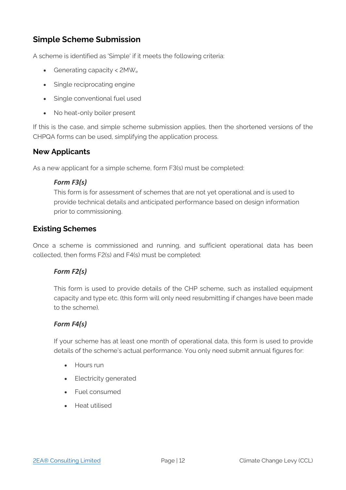### <span id="page-13-0"></span>**Simple Scheme Submission**

A scheme is identified as 'Simple' if it meets the following criteria:

- Generating capacity < 2MW<sup>e</sup>
- Single reciprocating engine
- Single conventional fuel used
- No heat-only boiler present

If this is the case, and simple scheme submission applies, then the shortened versions of the CHPQA forms can be used, simplifying the application process.

#### **New Applicants**

As a new applicant for a simple scheme, form F3(s) must be completed:

#### *Form F3(s)*

This form is for assessment of schemes that are not yet operational and is used to provide technical details and anticipated performance based on design information prior to commissioning.

#### **Existing Schemes**

Once a scheme is commissioned and running, and sufficient operational data has been collected, then forms F2(s) and F4(s) must be completed:

#### *Form F2(s)*

This form is used to provide details of the CHP scheme, such as installed equipment capacity and type etc. (this form will only need resubmitting if changes have been made to the scheme).

#### *Form F4(s)*

If your scheme has at least one month of operational data, this form is used to provide details of the scheme's actual performance. You only need submit annual figures for:

- Hours run
- Electricity generated
- Fuel consumed
- Heat utilised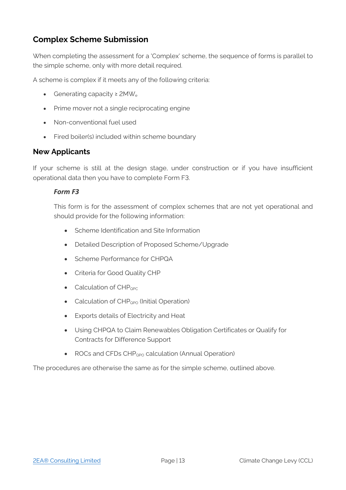### <span id="page-14-0"></span>**Complex Scheme Submission**

When completing the assessment for a 'Complex' scheme, the sequence of forms is parallel to the simple scheme, only with more detail required.

A scheme is complex if it meets any of the following criteria:

- Generating capacity  $\geq$  2MW<sub>e</sub>
- Prime mover not a single reciprocating engine
- Non-conventional fuel used
- Fired boiler(s) included within scheme boundary

#### **New Applicants**

If your scheme is still at the design stage, under construction or if you have insufficient operational data then you have to complete Form F3.

#### *Form F3*

This form is for the assessment of complex schemes that are not yet operational and should provide for the following information:

- Scheme Identification and Site Information
- Detailed Description of Proposed Scheme/Upgrade
- Scheme Performance for CHPQA
- Criteria for Good Quality CHP
- Calculation of  $CHP<sub>QPC</sub>$
- Calculation of  $CHP_{QPO}$  (Initial Operation)
- Exports details of Electricity and Heat
- Using CHPQA to Claim Renewables Obligation Certificates or Qualify for Contracts for Difference Support
- ROCs and CFDs  $CHP<sub>OPO</sub>$  calculation (Annual Operation)

The procedures are otherwise the same as for the simple scheme, outlined above.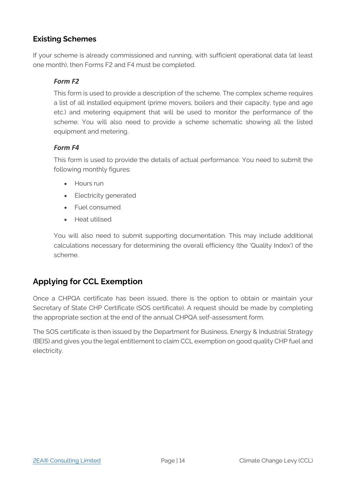#### **Existing Schemes**

If your scheme is already commissioned and running, with sufficient operational data (at least one month), then Forms F2 and F4 must be completed.

#### *Form F2*

This form is used to provide a description of the scheme. The complex scheme requires a list of all installed equipment (prime movers, boilers and their capacity, type and age etc.) and metering equipment that will be used to monitor the performance of the scheme. You will also need to provide a scheme schematic showing all the listed equipment and metering.

#### *Form F4*

This form is used to provide the details of actual performance. You need to submit the following monthly figures:

- Hours run
- Electricity generated
- Fuel consumed
- Heat utilised

You will also need to submit supporting documentation. This may include additional calculations necessary for determining the overall efficiency (the 'Quality Index') of the scheme.

### <span id="page-15-0"></span>**Applying for CCL Exemption**

Once a CHPQA certificate has been issued, there is the option to obtain or maintain your Secretary of State CHP Certificate (SOS certificate). A request should be made by completing the appropriate section at the end of the annual CHPQA self-assessment form.

The SOS certificate is then issued by the Department for Business, Energy & Industrial Strategy (BEIS) and gives you the legal entitlement to claim CCL exemption on good quality CHP fuel and electricity.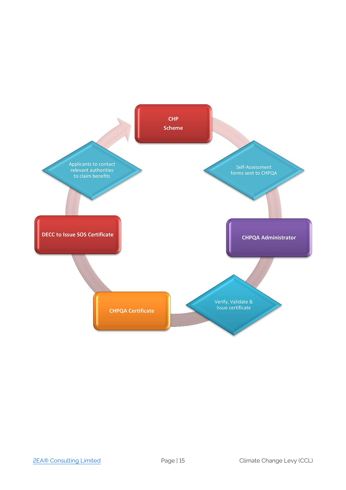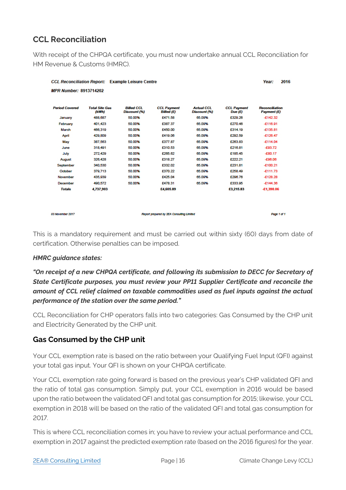### **CCL Reconciliation**

With receipt of the CHPQA certificate, you must now undertake annual CCL Reconciliation for HM Revenue & Customs (HMRC).

| <b>CCL Reconciliation Report: Example Leisure Centre</b> |                                           |                   |                    |                   |                    | 2016<br>Year:         |
|----------------------------------------------------------|-------------------------------------------|-------------------|--------------------|-------------------|--------------------|-----------------------|
| <b>MPR Number: 8913714202</b>                            |                                           |                   |                    |                   |                    |                       |
| <b>Period Covered</b>                                    | <b>Total Site Gas</b>                     | <b>Billed CCI</b> | <b>CCL Payment</b> | <b>Actual CCL</b> | <b>CCL Payment</b> | <b>Reconciliation</b> |
|                                                          | (kWh)                                     | Discount (%)      | <b>Billed</b> (£)  | Discount (%)      | Due $(f)$          | Payment (£)           |
| January                                                  | 488.687                                   | 50.00%            | £471.58            | 65.09%            | £329.26            | $-£142.32$            |
| February                                                 | 401,423                                   | 50.00%            | £387.37            | 65.09%            | £270.46            | $-£116.91$            |
| March                                                    | 466,319                                   | 50.00%            | £450.00            | 65.09%            | £314.19            | £135.81               |
| April                                                    | 429,809                                   | 50.00%            | £419.06            | 65.09%            | £292.59            | $-£126.47$            |
| May                                                      | 387,563                                   | 50.00%            | £377.87            | 65.09%            | £263.83            | $-£114.04$            |
| June                                                     | 318,491                                   | 50.00%            | £310.53            | 65.09%            | £216.81            | $-£93.72$             |
| July                                                     | 272.429                                   | 50.00%            | £265.62            | 65.09%            | £185.45            | $-£80.17$             |
| August                                                   | 326,428                                   | 50.00%            | £318.27            | 65.09%            | £222.21            | $-£96.06$             |
| September                                                | 340,530                                   | 50.00%            | £332.02            | 65.09%            | £231.81            | $-£100.21$            |
| October                                                  | 379.713                                   | 50.00%            | £370.22            | 65.09%            | £258.49            | $-£111.73$            |
| November                                                 | 435,939                                   | 50.00%            | £425.04            | 65.09%            | £296.76            | $-£128.28$            |
| December                                                 | 490.572                                   | 50.00%            | £478.31            | 65.09%            | £333.95            | $-£144.36$            |
| <b>Totals</b>                                            | 4,737,903                                 |                   | £4,605.89          |                   | £3,215.83          | $-£1,390.06$          |
|                                                          |                                           |                   |                    |                   |                    |                       |
|                                                          |                                           |                   |                    |                   |                    |                       |
| 03 November 2017                                         | Report prepared by 2EA Consulting Limited |                   |                    |                   |                    |                       |

This is a mandatory requirement and must be carried out within sixty (60) days from date of certification. Otherwise penalties can be imposed.

#### *HMRC guidance states:*

*"On receipt of a new CHPQA certificate, and following its submission to DECC for Secretary of State Certificate purposes, you must review your PP11 Supplier Certificate and reconcile the amount of CCL relief claimed on taxable commodities used as fuel inputs against the actual performance of the station over the same period."*

CCL Reconciliation for CHP operators falls into two categories: Gas Consumed by the CHP unit and Electricity Generated by the CHP unit.

#### **Gas Consumed by the CHP unit**

Your CCL exemption rate is based on the ratio between your Qualifying Fuel Input (QFI) against your total gas input. Your QFI is shown on your CHPQA certificate.

Your CCL exemption rate going forward is based on the previous year's CHP validated QFI and the ratio of total gas consumption. Simply put, your CCL exemption in 2016 would be based upon the ratio between the validated QFI and total gas consumption for 2015; likewise, your CCL exemption in 2018 will be based on the ratio of the validated QFI and total gas consumption for 2017.

This is where CCL reconciliation comes in; you have to review your actual performance and CCL exemption in 2017 against the predicted exemption rate (based on the 2016 figures) for the year.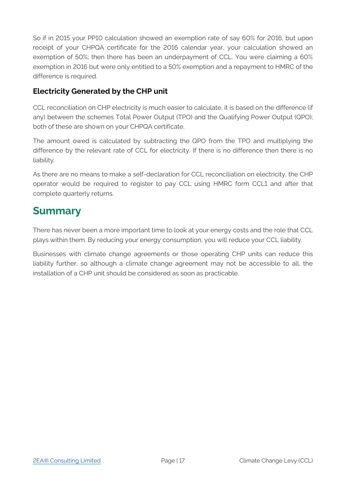So if in 2015 your PP10 calculation showed an exemption rate of say 60% for 2016, but upon receipt of your CHPQA certificate for the 2016 calendar year, your calculation showed an exemption of 50%; then there has been an underpayment of CCL. You were claiming a 60% exemption in 2016 but were only entitled to a 50% exemption and a repayment to HMRC of the difference is required.

#### **Electricity Generated by the CHP unit**

CCL reconciliation on CHP electricity is much easier to calculate, it is based on the difference (if any) between the schemes Total Power Output (TPO) and the Qualifying Power Output (QPO); both of these are shown on your CHPQA certificate.

The amount owed is calculated by subtracting the QPO from the TPO and multiplying the difference by the relevant rate of CCL for electricity. If there is no difference then there is no liability.

As there are no means to make a self-declaration for CCL reconciliation on electricity, the CHP operator would be required to register to pay CCL using HMRC form CCL1 and after that complete quarterly returns.

### <span id="page-18-0"></span>**Summary**

There has never been a more important time to look at your energy costs and the role that CCL plays within them. By reducing your energy consumption, you will reduce your CCL liability.

Businesses with climate change agreements or those operating CHP units can reduce this liability further, so although a climate change agreement may not be accessible to all, the installation of a CHP unit should be considered as soon as practicable.